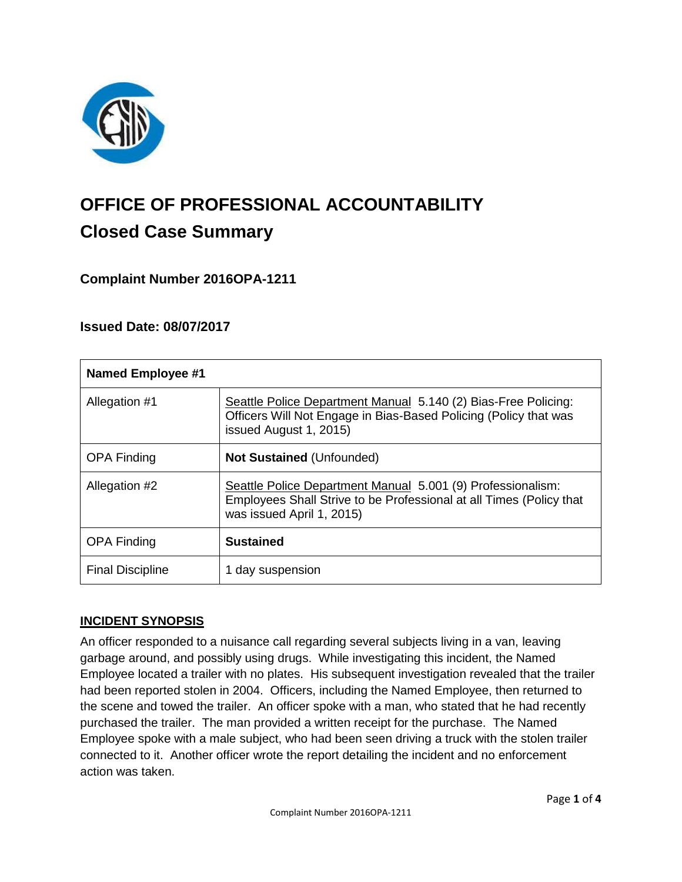

# **OFFICE OF PROFESSIONAL ACCOUNTABILITY Closed Case Summary**

**Complaint Number 2016OPA-1211**

# **Issued Date: 08/07/2017**

| <b>Named Employee #1</b> |                                                                                                                                                                 |
|--------------------------|-----------------------------------------------------------------------------------------------------------------------------------------------------------------|
| Allegation #1            | Seattle Police Department Manual 5.140 (2) Bias-Free Policing:<br>Officers Will Not Engage in Bias-Based Policing (Policy that was<br>issued August 1, 2015)    |
| <b>OPA Finding</b>       | <b>Not Sustained (Unfounded)</b>                                                                                                                                |
| Allegation #2            | Seattle Police Department Manual 5.001 (9) Professionalism:<br>Employees Shall Strive to be Professional at all Times (Policy that<br>was issued April 1, 2015) |
| <b>OPA Finding</b>       | <b>Sustained</b>                                                                                                                                                |
| <b>Final Discipline</b>  | 1 day suspension                                                                                                                                                |

# **INCIDENT SYNOPSIS**

An officer responded to a nuisance call regarding several subjects living in a van, leaving garbage around, and possibly using drugs. While investigating this incident, the Named Employee located a trailer with no plates. His subsequent investigation revealed that the trailer had been reported stolen in 2004. Officers, including the Named Employee, then returned to the scene and towed the trailer. An officer spoke with a man, who stated that he had recently purchased the trailer. The man provided a written receipt for the purchase. The Named Employee spoke with a male subject, who had been seen driving a truck with the stolen trailer connected to it. Another officer wrote the report detailing the incident and no enforcement action was taken.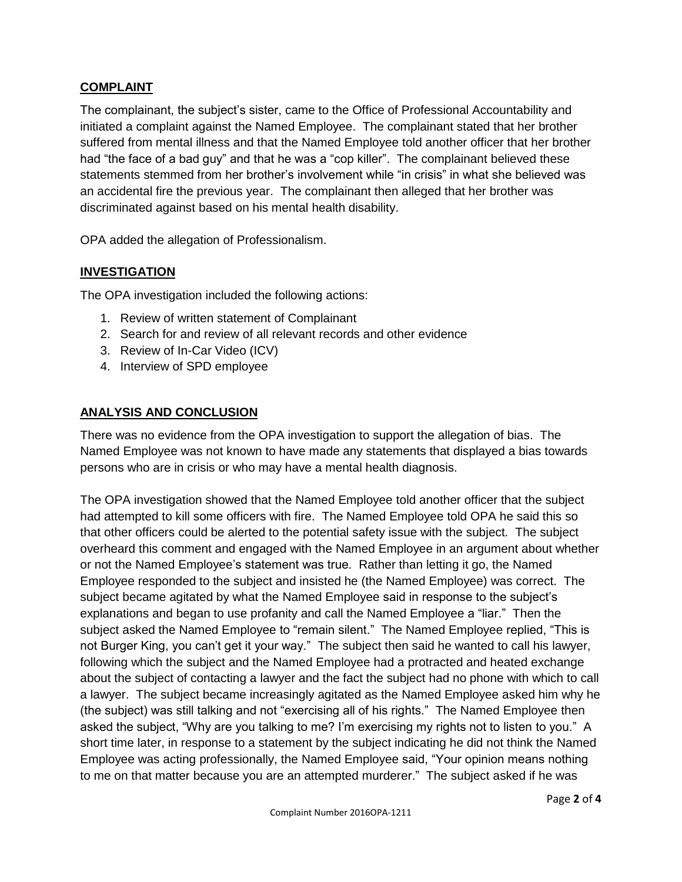## **COMPLAINT**

The complainant, the subject's sister, came to the Office of Professional Accountability and initiated a complaint against the Named Employee. The complainant stated that her brother suffered from mental illness and that the Named Employee told another officer that her brother had "the face of a bad guy" and that he was a "cop killer". The complainant believed these statements stemmed from her brother's involvement while "in crisis" in what she believed was an accidental fire the previous year. The complainant then alleged that her brother was discriminated against based on his mental health disability.

OPA added the allegation of Professionalism.

### **INVESTIGATION**

The OPA investigation included the following actions:

- 1. Review of written statement of Complainant
- 2. Search for and review of all relevant records and other evidence
- 3. Review of In-Car Video (ICV)
- 4. Interview of SPD employee

#### **ANALYSIS AND CONCLUSION**

There was no evidence from the OPA investigation to support the allegation of bias. The Named Employee was not known to have made any statements that displayed a bias towards persons who are in crisis or who may have a mental health diagnosis.

The OPA investigation showed that the Named Employee told another officer that the subject had attempted to kill some officers with fire. The Named Employee told OPA he said this so that other officers could be alerted to the potential safety issue with the subject. The subject overheard this comment and engaged with the Named Employee in an argument about whether or not the Named Employee's statement was true. Rather than letting it go, the Named Employee responded to the subject and insisted he (the Named Employee) was correct. The subject became agitated by what the Named Employee said in response to the subject's explanations and began to use profanity and call the Named Employee a "liar." Then the subject asked the Named Employee to "remain silent." The Named Employee replied, "This is not Burger King, you can't get it your way." The subject then said he wanted to call his lawyer, following which the subject and the Named Employee had a protracted and heated exchange about the subject of contacting a lawyer and the fact the subject had no phone with which to call a lawyer. The subject became increasingly agitated as the Named Employee asked him why he (the subject) was still talking and not "exercising all of his rights." The Named Employee then asked the subject, "Why are you talking to me? I'm exercising my rights not to listen to you." A short time later, in response to a statement by the subject indicating he did not think the Named Employee was acting professionally, the Named Employee said, "Your opinion means nothing to me on that matter because you are an attempted murderer." The subject asked if he was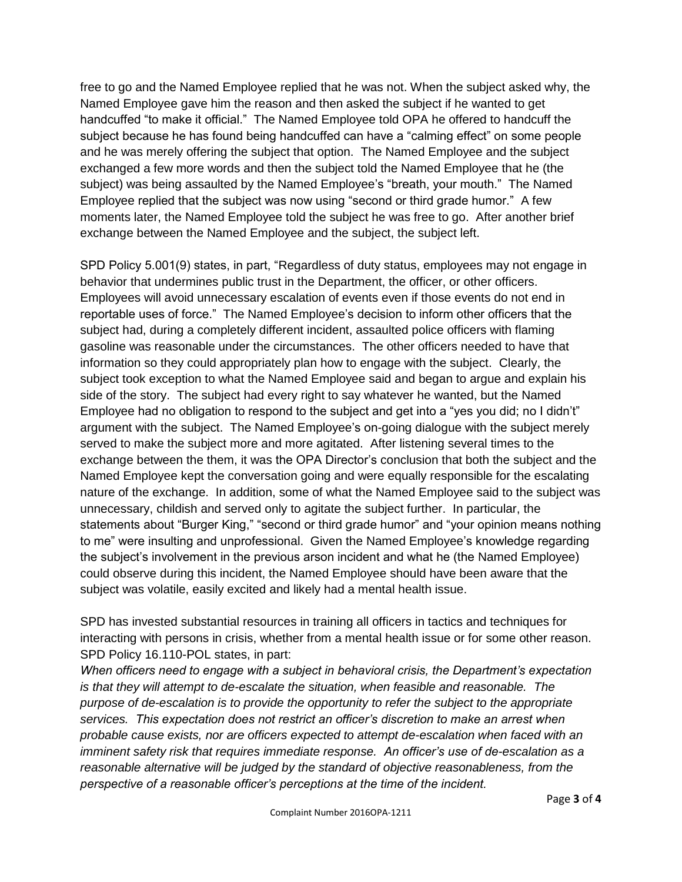free to go and the Named Employee replied that he was not. When the subject asked why, the Named Employee gave him the reason and then asked the subject if he wanted to get handcuffed "to make it official." The Named Employee told OPA he offered to handcuff the subject because he has found being handcuffed can have a "calming effect" on some people and he was merely offering the subject that option. The Named Employee and the subject exchanged a few more words and then the subject told the Named Employee that he (the subject) was being assaulted by the Named Employee's "breath, your mouth." The Named Employee replied that the subject was now using "second or third grade humor." A few moments later, the Named Employee told the subject he was free to go. After another brief exchange between the Named Employee and the subject, the subject left.

SPD Policy 5.001(9) states, in part, "Regardless of duty status, employees may not engage in behavior that undermines public trust in the Department, the officer, or other officers. Employees will avoid unnecessary escalation of events even if those events do not end in reportable uses of force." The Named Employee's decision to inform other officers that the subject had, during a completely different incident, assaulted police officers with flaming gasoline was reasonable under the circumstances. The other officers needed to have that information so they could appropriately plan how to engage with the subject. Clearly, the subject took exception to what the Named Employee said and began to argue and explain his side of the story. The subject had every right to say whatever he wanted, but the Named Employee had no obligation to respond to the subject and get into a "yes you did; no I didn't" argument with the subject. The Named Employee's on-going dialogue with the subject merely served to make the subject more and more agitated. After listening several times to the exchange between the them, it was the OPA Director's conclusion that both the subject and the Named Employee kept the conversation going and were equally responsible for the escalating nature of the exchange. In addition, some of what the Named Employee said to the subject was unnecessary, childish and served only to agitate the subject further. In particular, the statements about "Burger King," "second or third grade humor" and "your opinion means nothing to me" were insulting and unprofessional. Given the Named Employee's knowledge regarding the subject's involvement in the previous arson incident and what he (the Named Employee) could observe during this incident, the Named Employee should have been aware that the subject was volatile, easily excited and likely had a mental health issue.

SPD has invested substantial resources in training all officers in tactics and techniques for interacting with persons in crisis, whether from a mental health issue or for some other reason. SPD Policy 16.110-POL states, in part:

*When officers need to engage with a subject in behavioral crisis, the Department's expectation is that they will attempt to de-escalate the situation, when feasible and reasonable. The purpose of de-escalation is to provide the opportunity to refer the subject to the appropriate services. This expectation does not restrict an officer's discretion to make an arrest when probable cause exists, nor are officers expected to attempt de-escalation when faced with an imminent safety risk that requires immediate response. An officer's use of de-escalation as a reasonable alternative will be judged by the standard of objective reasonableness, from the perspective of a reasonable officer's perceptions at the time of the incident.*